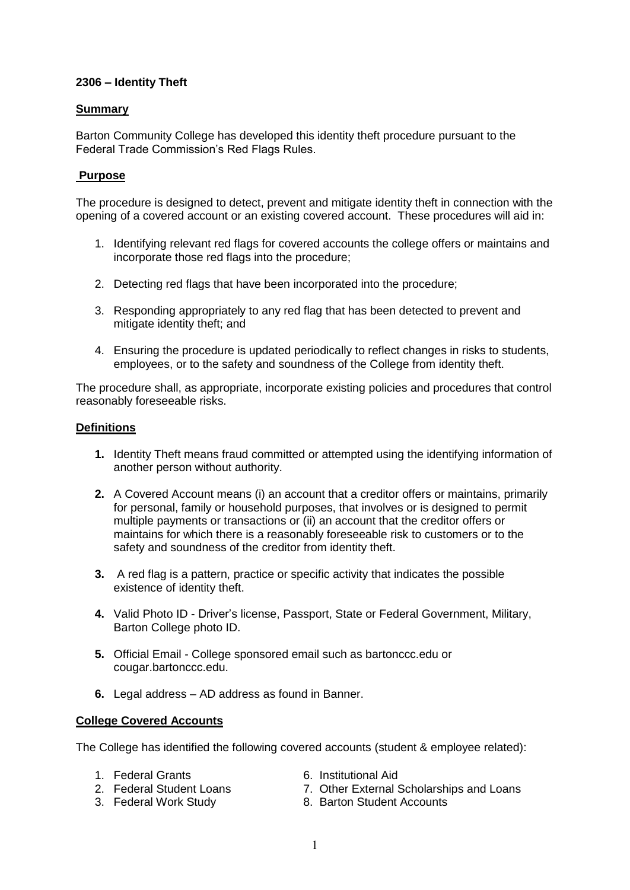#### **2306 – Identity Theft**

### **Summary**

Barton Community College has developed this identity theft procedure pursuant to the Federal Trade Commission's Red Flags Rules.

## **Purpose**

The procedure is designed to detect, prevent and mitigate identity theft in connection with the opening of a covered account or an existing covered account. These procedures will aid in:

- 1. Identifying relevant red flags for covered accounts the college offers or maintains and incorporate those red flags into the procedure;
- 2. Detecting red flags that have been incorporated into the procedure;
- 3. Responding appropriately to any red flag that has been detected to prevent and mitigate identity theft; and
- 4. Ensuring the procedure is updated periodically to reflect changes in risks to students, employees, or to the safety and soundness of the College from identity theft.

The procedure shall, as appropriate, incorporate existing policies and procedures that control reasonably foreseeable risks.

#### **Definitions**

- **1.** Identity Theft means fraud committed or attempted using the identifying information of another person without authority.
- **2.** A Covered Account means (i) an account that a creditor offers or maintains, primarily for personal, family or household purposes, that involves or is designed to permit multiple payments or transactions or (ii) an account that the creditor offers or maintains for which there is a reasonably foreseeable risk to customers or to the safety and soundness of the creditor from identity theft.
- **3.** A red flag is a pattern, practice or specific activity that indicates the possible existence of identity theft.
- **4.** Valid Photo ID Driver's license, Passport, State or Federal Government, Military, Barton College photo ID.
- **5.** Official Email College sponsored email such as bartonccc.edu or cougar.bartonccc.edu.
- **6.** Legal address AD address as found in Banner.

#### **College Covered Accounts**

The College has identified the following covered accounts (student & employee related):

- 
- 2. Federal Student Loans
- 
- 1. Federal Grants 6. Institutional Aid<br>2. Federal Student Loans 2. Other External Scholarships and Loans
- 3. Federal Work Study 8. Barton Student Accounts
	- 1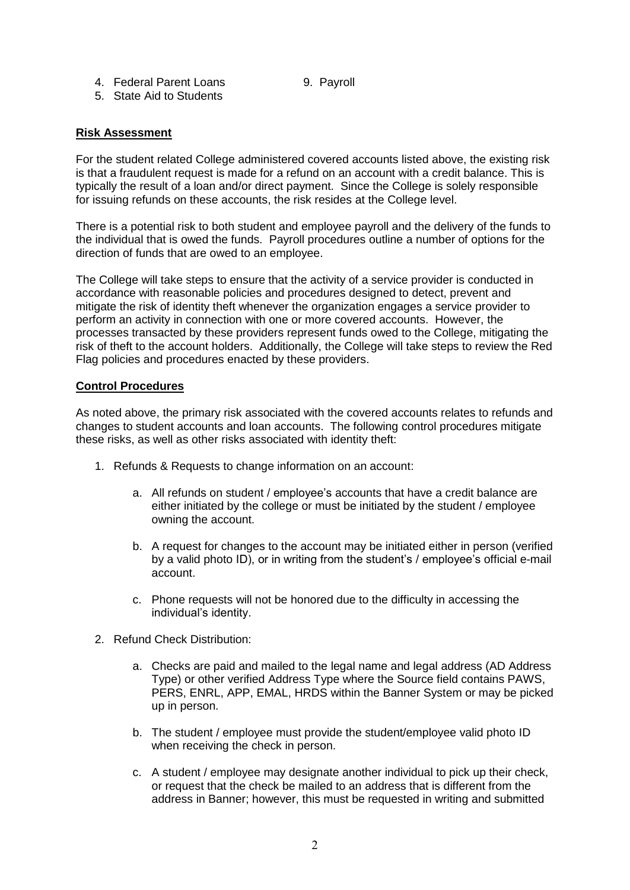- 
- 4. Federal Parent Loans 9. Payroll

## 5. State Aid to Students

## **Risk Assessment**

For the student related College administered covered accounts listed above, the existing risk is that a fraudulent request is made for a refund on an account with a credit balance. This is typically the result of a loan and/or direct payment. Since the College is solely responsible for issuing refunds on these accounts, the risk resides at the College level.

There is a potential risk to both student and employee payroll and the delivery of the funds to the individual that is owed the funds. Payroll procedures outline a number of options for the direction of funds that are owed to an employee.

The College will take steps to ensure that the activity of a service provider is conducted in accordance with reasonable policies and procedures designed to detect, prevent and mitigate the risk of identity theft whenever the organization engages a service provider to perform an activity in connection with one or more covered accounts. However, the processes transacted by these providers represent funds owed to the College, mitigating the risk of theft to the account holders. Additionally, the College will take steps to review the Red Flag policies and procedures enacted by these providers.

#### **Control Procedures**

As noted above, the primary risk associated with the covered accounts relates to refunds and changes to student accounts and loan accounts. The following control procedures mitigate these risks, as well as other risks associated with identity theft:

- 1. Refunds & Requests to change information on an account:
	- a. All refunds on student / employee's accounts that have a credit balance are either initiated by the college or must be initiated by the student / employee owning the account.
	- b. A request for changes to the account may be initiated either in person (verified by a valid photo ID), or in writing from the student's / employee's official e-mail account.
	- c. Phone requests will not be honored due to the difficulty in accessing the individual's identity.
- 2. Refund Check Distribution:
	- a. Checks are paid and mailed to the legal name and legal address (AD Address Type) or other verified Address Type where the Source field contains PAWS, PERS, ENRL, APP, EMAL, HRDS within the Banner System or may be picked up in person.
	- b. The student / employee must provide the student/employee valid photo ID when receiving the check in person.
	- c. A student / employee may designate another individual to pick up their check, or request that the check be mailed to an address that is different from the address in Banner; however, this must be requested in writing and submitted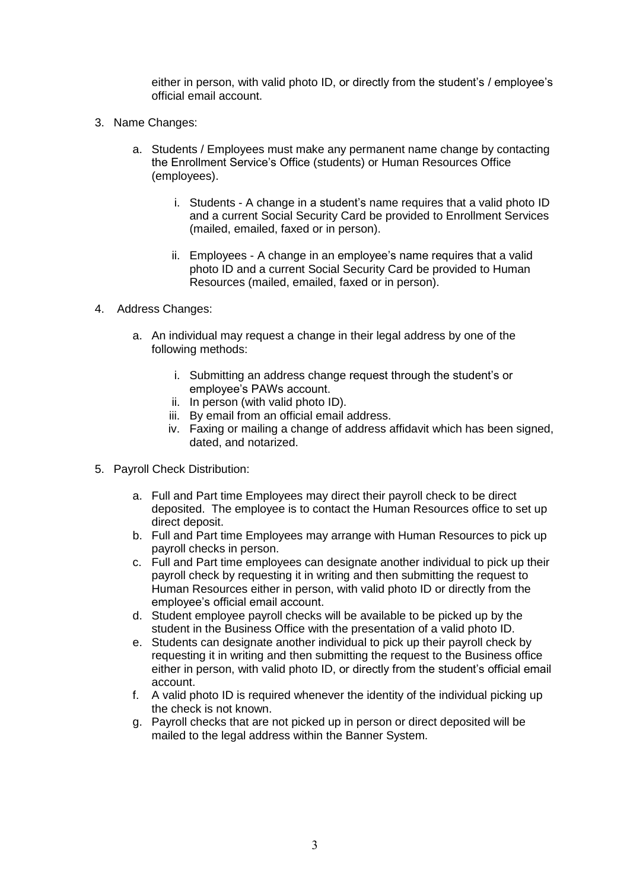either in person, with valid photo ID, or directly from the student's / employee's official email account.

- 3. Name Changes:
	- a. Students / Employees must make any permanent name change by contacting the Enrollment Service's Office (students) or Human Resources Office (employees).
		- i. Students A change in a student's name requires that a valid photo ID and a current Social Security Card be provided to Enrollment Services (mailed, emailed, faxed or in person).
		- ii. Employees A change in an employee's name requires that a valid photo ID and a current Social Security Card be provided to Human Resources (mailed, emailed, faxed or in person).
- 4. Address Changes:
	- a. An individual may request a change in their legal address by one of the following methods:
		- i. Submitting an address change request through the student's or employee's PAWs account.
		- ii. In person (with valid photo ID).
		- iii. By email from an official email address.
		- iv. Faxing or mailing a change of address affidavit which has been signed, dated, and notarized.
- 5. Payroll Check Distribution:
	- a. Full and Part time Employees may direct their payroll check to be direct deposited. The employee is to contact the Human Resources office to set up direct deposit.
	- b. Full and Part time Employees may arrange with Human Resources to pick up payroll checks in person.
	- c. Full and Part time employees can designate another individual to pick up their payroll check by requesting it in writing and then submitting the request to Human Resources either in person, with valid photo ID or directly from the employee's official email account.
	- d. Student employee payroll checks will be available to be picked up by the student in the Business Office with the presentation of a valid photo ID.
	- e. Students can designate another individual to pick up their payroll check by requesting it in writing and then submitting the request to the Business office either in person, with valid photo ID, or directly from the student's official email account.
	- f. A valid photo ID is required whenever the identity of the individual picking up the check is not known.
	- g. Payroll checks that are not picked up in person or direct deposited will be mailed to the legal address within the Banner System.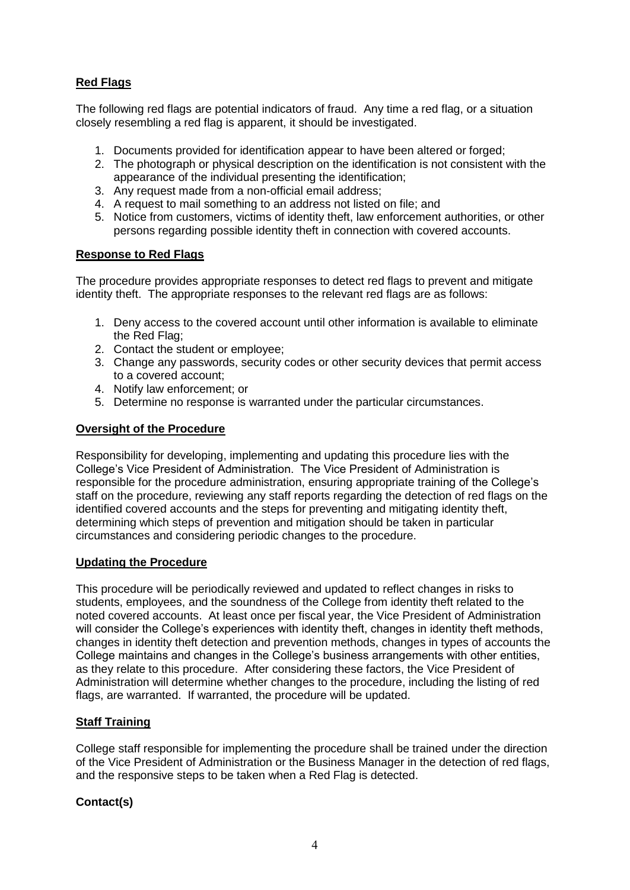# **Red Flags**

The following red flags are potential indicators of fraud. Any time a red flag, or a situation closely resembling a red flag is apparent, it should be investigated.

- 1. Documents provided for identification appear to have been altered or forged;
- 2. The photograph or physical description on the identification is not consistent with the appearance of the individual presenting the identification;
- 3. Any request made from a non-official email address;
- 4. A request to mail something to an address not listed on file; and
- 5. Notice from customers, victims of identity theft, law enforcement authorities, or other persons regarding possible identity theft in connection with covered accounts.

## **Response to Red Flags**

The procedure provides appropriate responses to detect red flags to prevent and mitigate identity theft. The appropriate responses to the relevant red flags are as follows:

- 1. Deny access to the covered account until other information is available to eliminate the Red Flag;
- 2. Contact the student or employee;
- 3. Change any passwords, security codes or other security devices that permit access to a covered account;
- 4. Notify law enforcement; or
- 5. Determine no response is warranted under the particular circumstances.

#### **Oversight of the Procedure**

Responsibility for developing, implementing and updating this procedure lies with the College's Vice President of Administration. The Vice President of Administration is responsible for the procedure administration, ensuring appropriate training of the College's staff on the procedure, reviewing any staff reports regarding the detection of red flags on the identified covered accounts and the steps for preventing and mitigating identity theft, determining which steps of prevention and mitigation should be taken in particular circumstances and considering periodic changes to the procedure.

#### **Updating the Procedure**

This procedure will be periodically reviewed and updated to reflect changes in risks to students, employees, and the soundness of the College from identity theft related to the noted covered accounts. At least once per fiscal year, the Vice President of Administration will consider the College's experiences with identity theft, changes in identity theft methods, changes in identity theft detection and prevention methods, changes in types of accounts the College maintains and changes in the College's business arrangements with other entities, as they relate to this procedure. After considering these factors, the Vice President of Administration will determine whether changes to the procedure, including the listing of red flags, are warranted. If warranted, the procedure will be updated.

#### **Staff Training**

College staff responsible for implementing the procedure shall be trained under the direction of the Vice President of Administration or the Business Manager in the detection of red flags, and the responsive steps to be taken when a Red Flag is detected.

#### **Contact(s)**